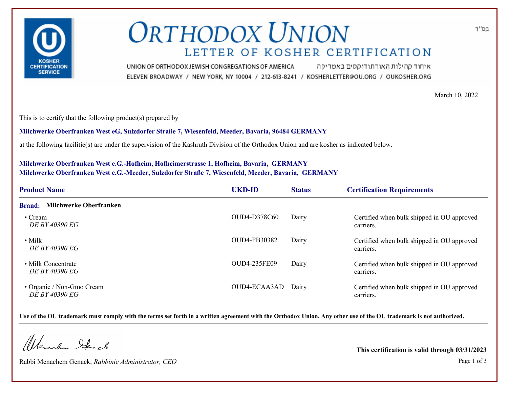

# **ORTHODOX UNION** LETTER OF KOSHER CERTIFICATION

איחוד קהילות האורתודוקסים באמריקה UNION OF ORTHODOX JEWISH CONGREGATIONS OF AMERICA ELEVEN BROADWAY / NEW YORK, NY 10004 / 212-613-8241 / KOSHERLETTER@OU.ORG / OUKOSHER.ORG

March 10, 2022

This is to certify that the following product(s) prepared by

**Milchwerke Oberfranken West eG, Sulzdorfer Straße 7, Wiesenfeld, Meeder, Bavaria, 96484 GERMANY**

at the following facilitie(s) are under the supervision of the Kashruth Division of the Orthodox Union and are kosher as indicated below.

### **Milchwerke Oberfranken West e.G.-Hofheim, Hofheimerstrasse 1, Hofheim, Bavaria, GERMANY Milchwerke Oberfranken West e.G.-Meeder, Sulzdorfer Straße 7, Wiesenfeld, Meeder, Bavaria, GERMANY**

| <b>Product Name</b>                            | <b>UKD-ID</b> | <b>Status</b> | <b>Certification Requirements</b>                       |
|------------------------------------------------|---------------|---------------|---------------------------------------------------------|
| <b>Milchwerke Oberfranken</b><br><b>Brand:</b> |               |               |                                                         |
| $\cdot$ Cream<br><i>DE BY 40390 EG</i>         | OUD4-D378C60  | Dairy         | Certified when bulk shipped in OU approved<br>carriers. |
| $\bullet$ Milk<br>DE BY 40390 EG               | OUD4-FB30382  | Dairy         | Certified when bulk shipped in OU approved<br>carriers. |
| • Milk Concentrate<br>DE BY 40390 EG           | OUD4-235FE09  | Dairy         | Certified when bulk shipped in OU approved<br>carriers. |
| • Organic / Non-Gmo Cream<br>DE BY 40390 EG    | OUD4-ECAA3AD  | Dairy         | Certified when bulk shipped in OU approved<br>carriers. |

**Use of the OU trademark must comply with the terms set forth in a written agreement with the Orthodox Union. Any other use of the OU trademark is not authorized.**

Werschn Heart

Rabbi Menachem Genack, *Rabbinic Administrator, CEO* Page 1 of 3

**This certification is valid through 03/31/2023**

בס"ד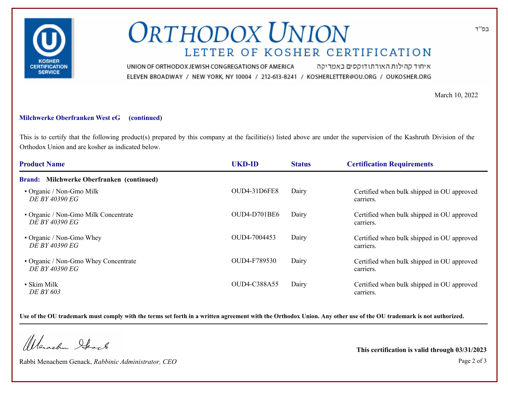

# **ORTHODOX UNION** LETTER OF KOSHER CERTIFICATION

איחוד קהילות האורתודוקסים באמריקה UNION OF ORTHODOX JEWISH CONGREGATIONS OF AMERICA ELEVEN BROADWAY / NEW YORK, NY 10004 / 212-613-8241 / KOSHERLETTER@OU.ORG / OUKOSHER.ORG

March 10, 2022

#### **Milchwerke Oberfranken West eG (continued)**

This is to certify that the following product(s) prepared by this company at the facilitie(s) listed above are under the supervision of the Kashruth Division of the Orthodox Union and are kosher as indicated below.

| <b>Product Name</b>                                           | <b>UKD-ID</b>       | <b>Status</b> | <b>Certification Requirements</b>                       |
|---------------------------------------------------------------|---------------------|---------------|---------------------------------------------------------|
| Brand: Milchwerke Oberfranken (continued)                     |                     |               |                                                         |
| • Organic / Non-Gmo Milk<br>DE BY 40390 EG                    | OUD4-31D6FE8        | Dairy         | Certified when bulk shipped in OU approved<br>carriers. |
| • Organic / Non-Gmo Milk Concentrate<br><i>DE BY 40390 EG</i> | <b>OUD4-D701BE6</b> | Dairy         | Certified when bulk shipped in OU approved<br>carriers. |
| • Organic / Non-Gmo Whey<br><i>DE BY 40390 EG</i>             | OUD4-7004453        | Dairy         | Certified when bulk shipped in OU approved<br>carriers. |
| • Organic / Non-Gmo Whey Concentrate<br>DE BY 40390 EG        | OUD4-F789530        | Dairy         | Certified when bulk shipped in OU approved<br>carriers. |
| • Skim Milk<br>DE BY 603                                      | OUD4-C388A55        | Dairy         | Certified when bulk shipped in OU approved<br>carriers. |

**Use of the OU trademark must comply with the terms set forth in a written agreement with the Orthodox Union. Any other use of the OU trademark is not authorized.**

Werachen Stack

Rabbi Menachem Genack, *Rabbinic Administrator, CEO* Page 2 of 3

**This certification is valid through 03/31/2023**

בס"ד